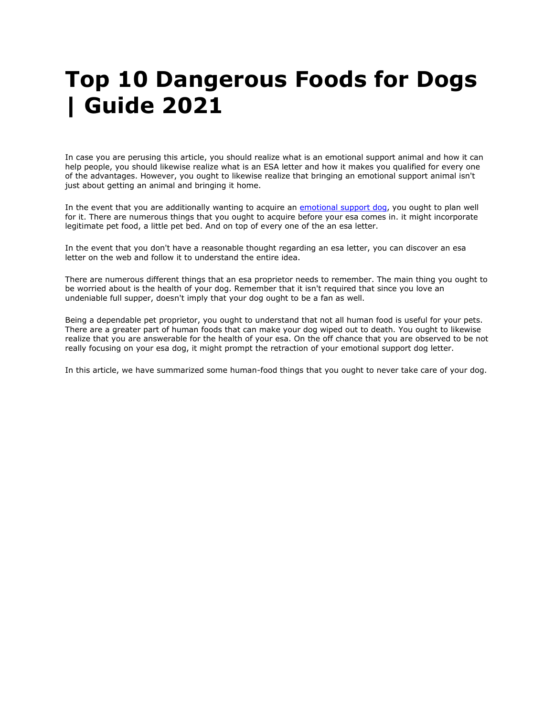# **Top 10 Dangerous Foods for Dogs | Guide 2021**

In case you are perusing this article, you should realize what is an emotional support animal and how it can help people, you should likewise realize what is an ESA letter and how it makes you qualified for every one of the advantages. However, you ought to likewise realize that bringing an emotional support animal isn't just about getting an animal and bringing it home.

In the event that you are additionally wanting to acquire an [emotional support](https://www.realesaletter.com/blog/emotional-support-dog-training) dog, you ought to plan well for it. There are numerous things that you ought to acquire before your esa comes in. it might incorporate legitimate pet food, a little pet bed. And on top of every one of the an esa letter.

In the event that you don't have a reasonable thought regarding an esa letter, you can discover an esa letter on the web and follow it to understand the entire idea.

There are numerous different things that an esa proprietor needs to remember. The main thing you ought to be worried about is the health of your dog. Remember that it isn't required that since you love an undeniable full supper, doesn't imply that your dog ought to be a fan as well.

Being a dependable pet proprietor, you ought to understand that not all human food is useful for your pets. There are a greater part of human foods that can make your dog wiped out to death. You ought to likewise realize that you are answerable for the health of your esa. On the off chance that you are observed to be not really focusing on your esa dog, it might prompt the retraction of your emotional support dog letter.

In this article, we have summarized some human-food things that you ought to never take care of your dog.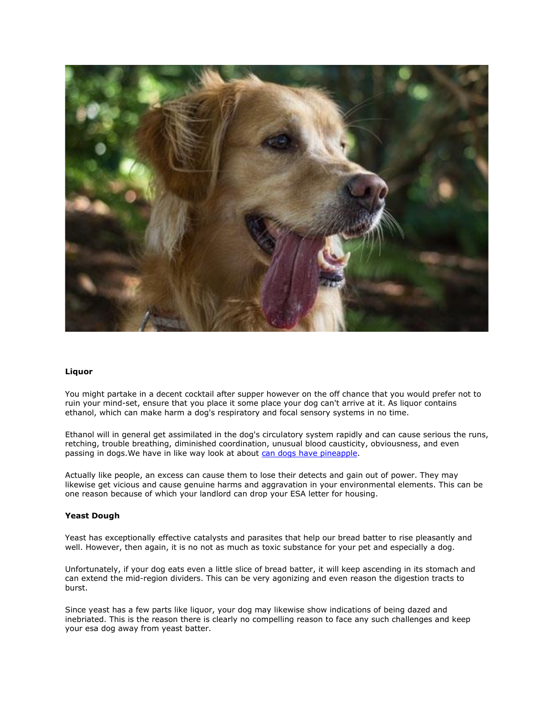

## **Liquor**

You might partake in a decent cocktail after supper however on the off chance that you would prefer not to ruin your mind-set, ensure that you place it some place your dog can't arrive at it. As liquor contains ethanol, which can make harm a dog's respiratory and focal sensory systems in no time.

Ethanol will in general get assimilated in the dog's circulatory system rapidly and can cause serious the runs, retching, trouble breathing, diminished coordination, unusual blood causticity, obviousness, and even passing in dogs. We have in like way look at about [can dogs have pineapple.](https://www.realesaletter.com/blog/can-dogs-eat-pineapple)

Actually like people, an excess can cause them to lose their detects and gain out of power. They may likewise get vicious and cause genuine harms and aggravation in your environmental elements. This can be one reason because of which your landlord can drop your ESA letter for housing.

#### **Yeast Dough**

Yeast has exceptionally effective catalysts and parasites that help our bread batter to rise pleasantly and well. However, then again, it is no not as much as toxic substance for your pet and especially a dog.

Unfortunately, if your dog eats even a little slice of bread batter, it will keep ascending in its stomach and can extend the mid-region dividers. This can be very agonizing and even reason the digestion tracts to burst.

Since yeast has a few parts like liquor, your dog may likewise show indications of being dazed and inebriated. This is the reason there is clearly no compelling reason to face any such challenges and keep your esa dog away from yeast batter.